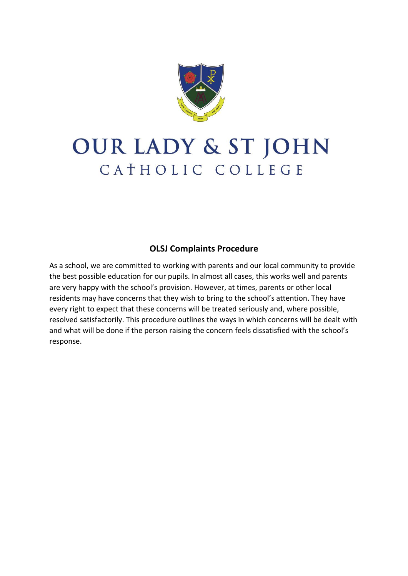

# OUR LADY & ST JOHN CATHOLIC COLLEGE

# **OLSJ Complaints Procedure**

As a school, we are committed to working with parents and our local community to provide the best possible education for our pupils. In almost all cases, this works well and parents are very happy with the school's provision. However, at times, parents or other local residents may have concerns that they wish to bring to the school's attention. They have every right to expect that these concerns will be treated seriously and, where possible, resolved satisfactorily. This procedure outlines the ways in which concerns will be dealt with and what will be done if the person raising the concern feels dissatisfied with the school's response.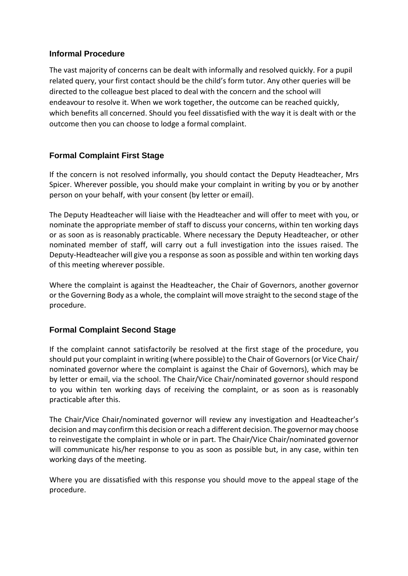#### **Informal Procedure**

The vast majority of concerns can be dealt with informally and resolved quickly. For a pupil related query, your first contact should be the child's form tutor. Any other queries will be directed to the colleague best placed to deal with the concern and the school will endeavour to resolve it. When we work together, the outcome can be reached quickly, which benefits all concerned. Should you feel dissatisfied with the way it is dealt with or the outcome then you can choose to lodge a formal complaint.

## **Formal Complaint First Stage**

If the concern is not resolved informally, you should contact the Deputy Headteacher, Mrs Spicer. Wherever possible, you should make your complaint in writing by you or by another person on your behalf, with your consent (by letter or email).

The Deputy Headteacher will liaise with the Headteacher and will offer to meet with you, or nominate the appropriate member of staff to discuss your concerns, within ten working days or as soon as is reasonably practicable. Where necessary the Deputy Headteacher, or other nominated member of staff, will carry out a full investigation into the issues raised. The Deputy-Headteacher will give you a response as soon as possible and within ten working days of this meeting wherever possible.

Where the complaint is against the Headteacher, the Chair of Governors, another governor or the Governing Body as a whole, the complaint will move straight to the second stage of the procedure.

#### **Formal Complaint Second Stage**

If the complaint cannot satisfactorily be resolved at the first stage of the procedure, you should put your complaint in writing (where possible) to the Chair of Governors (or Vice Chair/ nominated governor where the complaint is against the Chair of Governors), which may be by letter or email, via the school. The Chair/Vice Chair/nominated governor should respond to you within ten working days of receiving the complaint, or as soon as is reasonably practicable after this.

The Chair/Vice Chair/nominated governor will review any investigation and Headteacher's decision and may confirm this decision or reach a different decision. The governor may choose to reinvestigate the complaint in whole or in part. The Chair/Vice Chair/nominated governor will communicate his/her response to you as soon as possible but, in any case, within ten working days of the meeting.

Where you are dissatisfied with this response you should move to the appeal stage of the procedure.